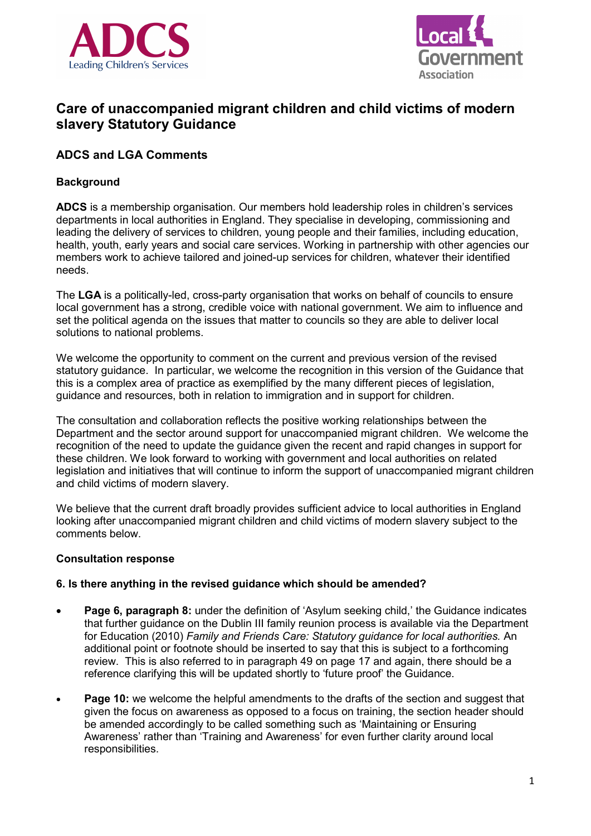



# **Care of unaccompanied migrant children and child victims of modern slavery Statutory Guidance**

# **ADCS and LGA Comments**

## **Background**

**ADCS** is a membership organisation. Our members hold leadership roles in children's services departments in local authorities in England. They specialise in developing, commissioning and leading the delivery of services to children, young people and their families, including education, health, youth, early years and social care services. Working in partnership with other agencies our members work to achieve tailored and joined-up services for children, whatever their identified needs.

The **LGA** is a politically-led, cross-party organisation that works on behalf of councils to ensure local government has a strong, credible voice with national government. We aim to influence and set the political agenda on the issues that matter to councils so they are able to deliver local solutions to national problems.

We welcome the opportunity to comment on the current and previous version of the revised statutory guidance. In particular, we welcome the recognition in this version of the Guidance that this is a complex area of practice as exemplified by the many different pieces of legislation, guidance and resources, both in relation to immigration and in support for children.

The consultation and collaboration reflects the positive working relationships between the Department and the sector around support for unaccompanied migrant children. We welcome the recognition of the need to update the guidance given the recent and rapid changes in support for these children. We look forward to working with government and local authorities on related legislation and initiatives that will continue to inform the support of unaccompanied migrant children and child victims of modern slavery.

We believe that the current draft broadly provides sufficient advice to local authorities in England looking after unaccompanied migrant children and child victims of modern slavery subject to the comments below.

#### **Consultation response**

#### **6. Is there anything in the revised guidance which should be amended?**

- **Page 6, paragraph 8:** under the definition of 'Asylum seeking child,' the Guidance indicates that further guidance on the Dublin III family reunion process is available via the Department for Education (2010) *Family and Friends Care: Statutory guidance for local authorities.* An additional point or footnote should be inserted to say that this is subject to a forthcoming review. This is also referred to in paragraph 49 on page 17 and again, there should be a reference clarifying this will be updated shortly to 'future proof' the Guidance.
- **Page 10:** we welcome the helpful amendments to the drafts of the section and suggest that given the focus on awareness as opposed to a focus on training, the section header should be amended accordingly to be called something such as 'Maintaining or Ensuring Awareness' rather than 'Training and Awareness' for even further clarity around local responsibilities.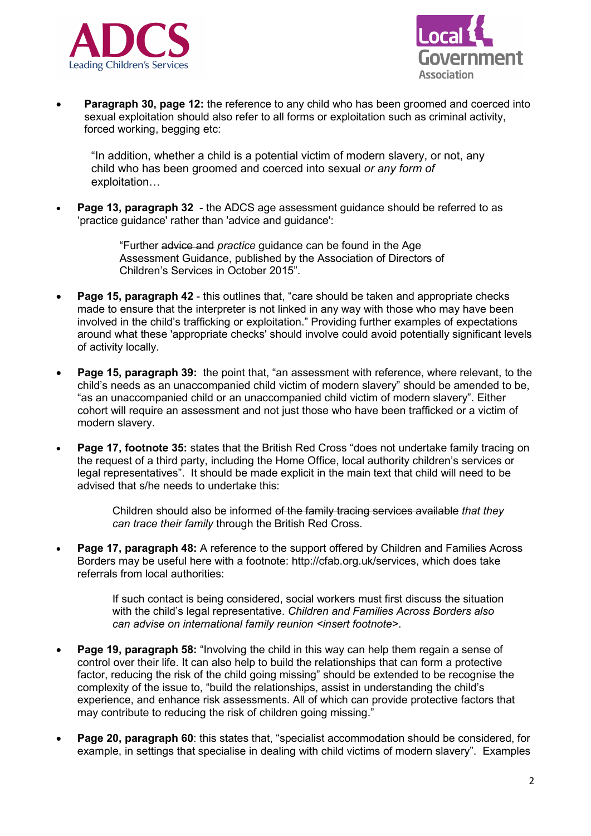



**Paragraph 30, page 12:** the reference to any child who has been groomed and coerced into sexual exploitation should also refer to all forms or exploitation such as criminal activity, forced working, begging etc:

"In addition, whether a child is a potential victim of modern slavery, or not, any child who has been groomed and coerced into sexual *or any form of* exploitation…

• **Page 13, paragraph 32** - the ADCS age assessment guidance should be referred to as 'practice guidance' rather than 'advice and guidance':

> "Further advice and *practice* guidance can be found in the Age Assessment Guidance, published by the Association of Directors of Children's Services in October 2015".

- **Page 15, paragraph 42** this outlines that, "care should be taken and appropriate checks made to ensure that the interpreter is not linked in any way with those who may have been involved in the child's trafficking or exploitation." Providing further examples of expectations around what these 'appropriate checks' should involve could avoid potentially significant levels of activity locally.
- **Page 15, paragraph 39:** the point that, "an assessment with reference, where relevant, to the child's needs as an unaccompanied child victim of modern slavery" should be amended to be, "as an unaccompanied child or an unaccompanied child victim of modern slavery". Either cohort will require an assessment and not just those who have been trafficked or a victim of modern slavery.
- **Page 17, footnote 35:** states that the British Red Cross "does not undertake family tracing on the request of a third party, including the Home Office, local authority children's services or legal representatives". It should be made explicit in the main text that child will need to be advised that s/he needs to undertake this:

Children should also be informed of the family tracing services available *that they can trace their family* through the British Red Cross.

• **Page 17, paragraph 48:** A reference to the support offered by Children and Families Across Borders may be useful here with a footnote: [http://cfab.org.uk/services,](http://cfab.org.uk/services) which does take referrals from local authorities:

> If such contact is being considered, social workers must first discuss the situation with the child's legal representative. *Children and Families Across Borders also can advise on international family reunion <insert footnote>*.

- **Page 19, paragraph 58:** "Involving the child in this way can help them regain a sense of control over their life. It can also help to build the relationships that can form a protective factor, reducing the risk of the child going missing" should be extended to be recognise the complexity of the issue to, "build the relationships, assist in understanding the child's experience, and enhance risk assessments. All of which can provide protective factors that may contribute to reducing the risk of children going missing."
- **Page 20, paragraph 60**: this states that, "specialist accommodation should be considered, for example, in settings that specialise in dealing with child victims of modern slavery". Examples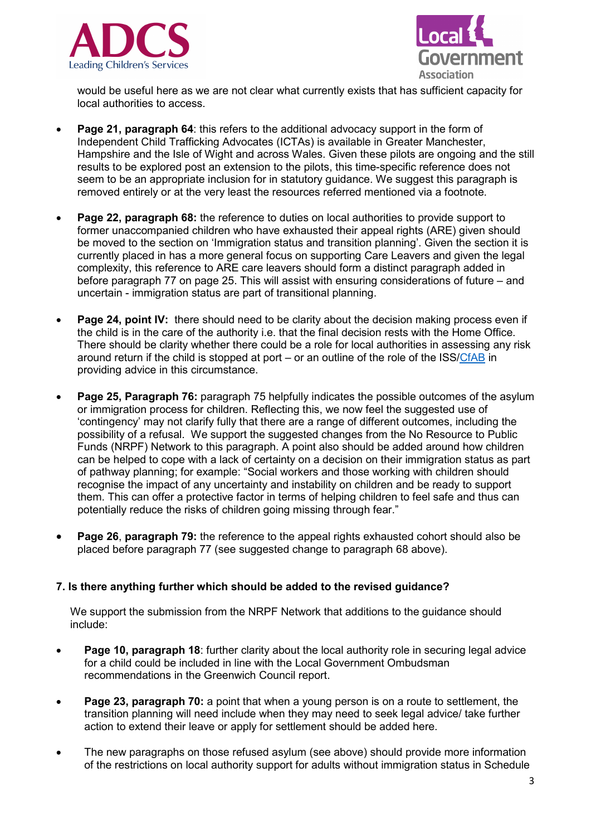



would be useful here as we are not clear what currently exists that has sufficient capacity for local authorities to access.

- **Page 21, paragraph 64**: this refers to the additional advocacy support in the form of Independent Child Trafficking Advocates (ICTAs) is available in Greater Manchester, Hampshire and the Isle of Wight and across Wales. Given these pilots are ongoing and the still results to be explored post an extension to the pilots, this time-specific reference does not seem to be an appropriate inclusion for in statutory guidance. We suggest this paragraph is removed entirely or at the very least the resources referred mentioned via a footnote.
- **Page 22, paragraph 68:** the reference to duties on local authorities to provide support to former unaccompanied children who have exhausted their appeal rights (ARE) given should be moved to the section on 'Immigration status and transition planning'. Given the section it is currently placed in has a more general focus on supporting Care Leavers and given the legal complexity, this reference to ARE care leavers should form a distinct paragraph added in before paragraph 77 on page 25. This will assist with ensuring considerations of future – and uncertain - immigration status are part of transitional planning.
- **Page 24, point IV:** there should need to be clarity about the decision making process even if the child is in the care of the authority i.e. that the final decision rests with the Home Office. There should be clarity whether there could be a role for local authorities in assessing any risk around return if the child is stopped at port – or an outline of the role of the ISS[/CfAB](http://cfab.org.uk/what-we-do) in providing advice in this circumstance.
- **Page 25, Paragraph 76:** paragraph 75 helpfully indicates the possible outcomes of the asylum or immigration process for children. Reflecting this, we now feel the suggested use of 'contingency' may not clarify fully that there are a range of different outcomes, including the possibility of a refusal. We support the suggested changes from the No Resource to Public Funds (NRPF) Network to this paragraph. A point also should be added around how children can be helped to cope with a lack of certainty on a decision on their immigration status as part of pathway planning; for example: "Social workers and those working with children should recognise the impact of any uncertainty and instability on children and be ready to support them. This can offer a protective factor in terms of helping children to feel safe and thus can potentially reduce the risks of children going missing through fear."
- **Page 26**, **paragraph 79:** the reference to the appeal rights exhausted cohort should also be placed before paragraph 77 (see suggested change to paragraph 68 above).

#### **7. Is there anything further which should be added to the revised guidance?**

We support the submission from the NRPF Network that additions to the guidance should include:

- **Page 10, paragraph 18**: further clarity about the local authority role in securing legal advice for a child could be included in line with the Local Government Ombudsman recommendations in the Greenwich Council report.
- **Page 23, paragraph 70:** a point that when a young person is on a route to settlement, the transition planning will need include when they may need to seek legal advice/ take further action to extend their leave or apply for settlement should be added here.
- The new paragraphs on those refused asylum (see above) should provide more information of the restrictions on local authority support for adults without immigration status in Schedule